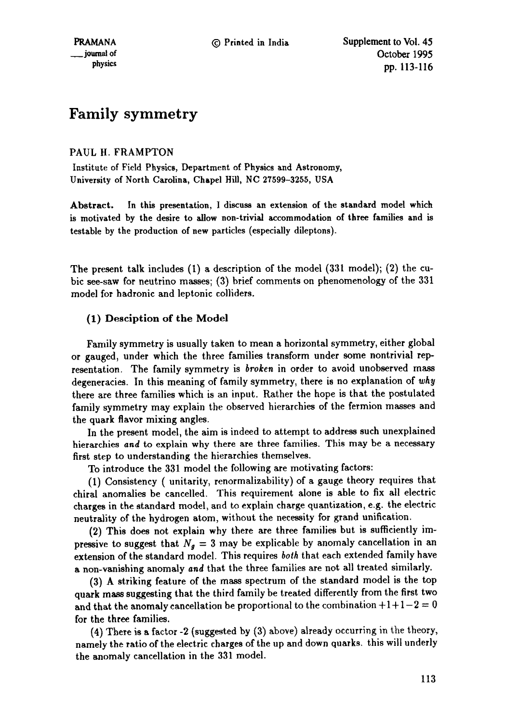# **Family symmetry**

## PAUL H. FRAMPTON

Institute of Field Physics, Department of Physics and Astronomy, University of North Carolina, Chapel Hill, NC 27599-3255, USA

Abstract. In this presentation, 1 discuss an extension of the standard model which is motivated by the desire to allow non-trivial accommodation of three families and is testable by the production of new particles (especially dileptons).

The present talk includes (I) a description of the model (331 model); (2) the cubic see-saw for neutrino masses; (3) brief comments on phenomenology of the 331 model for hadronic and leptonic colliders.

# (1) Desciption of the Model

Family symmetry is usually taken to mean a horizontal symmetry, either global or gauged, under which the three families transform under some nontrivial representation. The family symmetry is *broken* in order to avoid unobserved mass degeneracies. In this meaning of family symmetry, there is no explanation of *why*  there are three families which is an input. Rather the hope is that the postulated family symmetry may explain the observed hierarchies of the fermion masses and the quark flavor mixing angles.

In the present model, the aim is indeed to attempt to address such unexplained hierarchies *and* to explain why there are three families. This may be a necessary first step to understanding the hierarchies themselves.

To introduce the 331 model the following are motivating factors:

(1) Consistency ( unitarity, renormalizability) of a gauge theory requires that chiral anomalies be cancelled. This requirement alone is able to fix all electric charges in the standard model, and to explain charge quantization, e.g. the electric neutrality of the hydrogen atom, without the necessity for grand unification.

(2) This does not explain why there are three families but is sufficiently impressive to suggest that  $N_g = 3$  may be explicable by anomaly cancellation in an extension of the standard model. This requires *both* that each extended family have a non-vanishing anomaly *and* that the three families are not all treated similarly.

(3) A striking feature of the mass spectrum of the standard model is the top quark mass suggesting that the third family be treated differently from the first two and that the anomaly cancellation be proportional to the combination  $+1+1-2=0$ for the three families.

(4) There is a factor -2 (suggested by (3) above) already occurring in the theory, namely the ratio of the electric charges of the up and down quarks, this will underly the anomaly cancellation in the 331 model.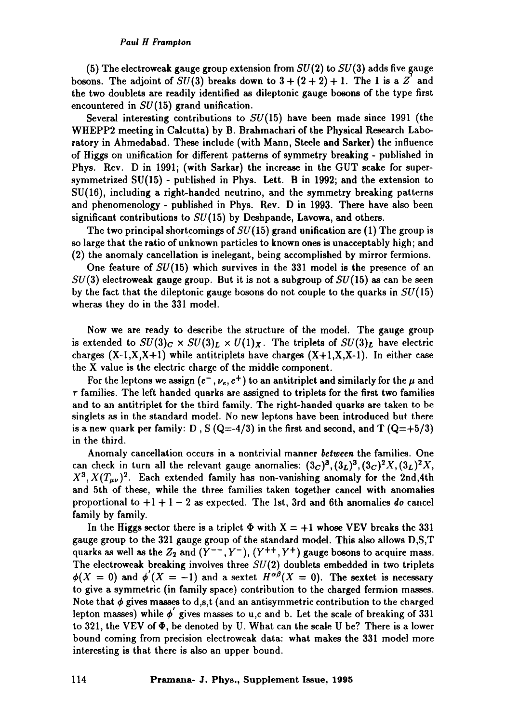#### *Paul H Frampton*

(5) The electroweak gauge group extension from  $SU(2)$  to  $SU(3)$  adds five gauge bosons. The adjoint of  $SU(3)$  breaks down to  $3 + (2 + 2) + 1$ . The 1 is a Z' and the two doublets are readily identified as dileptonic gauge bosons of the type first encountered in  $SU(15)$  grand unification.

Several interesting contributions to  $SU(15)$  have been made since 1991 (the WHEPP2 meeting in Calcutta) by B. Brahmachari of the Physical Research Laboratory in Ahmedabad. These include (with Mann, Steele and Sarker) the influence of Higgs on unification for different patterns of symmetry breaking - published in Phys. Rev. D in 1991; (with Sarkar) the increase in the GUT scake for supersymmetrized SU(15) - published in Phys. Lett. B in 1992; and the extension to SU(16), including a right-handed neutrino, and the symmetry breaking patterns and phenomenology - published in Phys. Rev. D in 1993. There have also been significant contributions to  $SU(15)$  by Deshpande, Lavowa, and others.

The two principal shortcomings of  $SU(15)$  grand unification are (1) The group is so large that the ratio of unknown particles to known ones is unacceptably high; and (2) the anomaly cancellation is inelegant, being accomplished by mirror fermions.

One feature of  $SU(15)$  which survives in the 331 model is the presence of an  $SU(3)$  electroweak gauge group. But it is not a subgroup of  $SU(15)$  as can be seen by the fact that the dileptonic gauge bosons do not couple to the quarks in  $SU(15)$ wheras they do in the 331 model.

Now we are ready to describe the structure of the model. The gauge group is extended to  $SU(3)_C \times SU(3)_L \times U(1)_X$ . The triplets of  $SU(3)_L$  have electric charges  $(X-1,X,X+1)$  while antitriplets have charges  $(X+1,X,X-1)$ . In either case the X value is the electric charge of the middle component.

For the leptons we assign ( $e^-$ ,  $\nu_e$ ,  $e^+$ ) to an antitriplet and similarly for the  $\mu$  and  $\tau$  families. The left handed quarks are assigned to triplets for the first two families and to an antitriplet for the third family. The right-handed quarks are taken to be singlets as in the standard model. No new leptons have been introduced but there is a new quark per family: D, S  $(Q=4/3)$  in the first and second, and T  $(Q=+5/3)$ in the third.

Anomaly cancellation occurs in a nontrivial manner *between* the families. One can check in turn all the relevant gauge anomalies:  $(3c)^3$ ,  $(3L)^3$ ,  $(3c)^2X$ ,  $(3L)^2X$ ,  $X^3$ ,  $X(T_{\mu\nu})^2$ . Each extended family has non-vanishing anomaly for the 2nd,4th and 5th of these, while the three families taken together cancel with anomalies proportional to +1 + 1 - 2 as expected. The 1st, 3rd and 6th anomalies *do* cancel family by family.

In the Higgs sector there is a triplet  $\Phi$  with  $X = +1$  whose VEV breaks the 331 gauge group to the 321 gauge group of the standard model. This also allows D,S,T quarks as well as the  $Z_2$  and  $(Y^{--}, Y^{-})$ ,  $(Y^{++}, Y^{+})$  gauge bosons to acquire mass. The electroweak breaking involves three  $SU(2)$  doublets embedded in two triplets  $\phi(X = 0)$  and  $\phi'(X = -1)$  and a sextet  $H^{\alpha\beta}(X = 0)$ . The sextet is necessary to give a symmetric (in family space) contribution to the charged fermion masses. Note that  $\phi$  gives masses to d,s,t (and an antisymmetric contribution to the charged lepton masses) while  $\phi'$  gives masses to u,c and b. Let the scale of breaking of 331 to 321, the VEV of  $\Phi$ , be denoted by U. What can the scale U be? There is a lower bound coming from precision electroweak data: what makes the 331 model more interesting is that there is also an upper bound.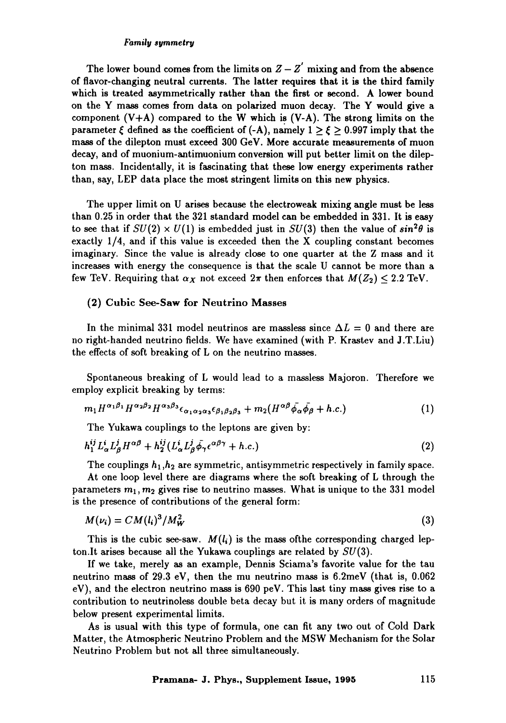#### *Family symmetry*

The lower bound comes from the limits on  $Z - Z'$  mixing and from the absence of flavor-changing neutral currents. The latter requires that it is the third family which is treated asymmetrically rather than the first or second. A lower bound on the Y mass comes from data on polarized muon decay. The Y would give a component  $(V+A)$  compared to the W which is  $(V-A)$ . The strong limits on the parameter  $\xi$  defined as the coefficient of (-A), namely  $1 \ge \xi \ge 0.997$  imply that the mass of the dilepton must exceed 300 GeV. More accurate measurements of muon decay, and of muonium-antimuonium conversion will put better limit on the dilepton mass. Incidentally, it is fascinating that these low energy experiments rather than, say, LEP data place the most stringent limits on this new physics.

The upper limit on U arises because the electroweak mixing angle must be less than 0.25 in order that the 321 standard model can be embedded in 331. It is easy to see that if  $SU(2) \times U(1)$  is embedded just in  $SU(3)$  then the value of  $\sin^2 \theta$  is exactly 1/4, and if this value is exceeded then the X coupling constant becomes imaginary. Since the value is already close to one quarter at the Z mass and it increases with energy the consequence is that the scale U cannot be more than a few TeV. Requiring that  $\alpha_X$  not exceed  $2\pi$  then enforces that  $M(Z_2) \leq 2.2$  TeV.

### (2) Cubic See-Saw for Neutrino Masses

In the minimal 331 model neutrinos are massless since  $\Delta L = 0$  and there are no right-handed neutrino fields. We have examined (with P. Krastev and J.T.Liu) the effects of soft breaking of L on the neutrino masses.

Spontaneous breaking of L would lead to a massless Majoron. Therefore we employ explicit breaking by terms:

$$
m_1 H^{\alpha_1 \beta_1} H^{\alpha_2 \beta_2} H^{\alpha_3 \beta_3} \epsilon_{\alpha_1 \alpha_2 \alpha_3} \epsilon_{\beta_1 \beta_2 \beta_3} + m_2 (H^{\alpha \beta} \bar{\phi}_{\alpha} \bar{\phi}_{\beta} + h.c.) \tag{1}
$$

The Yukawa couplings to the leptons are given by:

$$
h_1^{ij} L^i_{\alpha} L^j_{\beta} H^{\alpha\beta} + h_2^{ij} (L^i_{\alpha} L^j_{\beta} \bar{\phi}_{\gamma} \epsilon^{\alpha\beta\gamma} + h.c.) \tag{2}
$$

The couplings  $h_1,h_2$  are symmetric, antisymmetric respectively in family space. At one loop level there are diagrams where the soft breaking of L through the parameters  $m_1$ ,  $m_2$  gives rise to neutrino masses. What is unique to the 331 model is the presence of contributions of the general form:

$$
M(\nu_i) = CM(l_i)^3 / M_W^2 \tag{3}
$$

This is the cubic see-saw.  $M(l_i)$  is the mass of the corresponding charged lepton.It arises because all the Yukawa couplings are related by  $SU(3)$ .

If we take, merely as an example, Dennis Sciama's favorite value for the tau neutrino mass of 29.3 eV, then the mu neutrino mass is 6.2meV (that is, 0.062 eV), and the electron neutrino mass is 690 peV. This last tiny mass gives rise to a contribution to neutrinoless double beta decay but it is many orders of magnitude below present experimental limits.

As is usual with this type of formula, one can fit any two out of Cold Dark Matter, the Atmospheric Neutrino Problem and the MSW Mechanism for the Solar Neutrino Problem but not all three simultaneously.